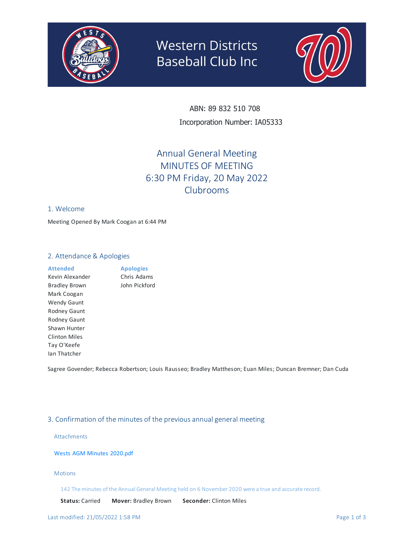

# **Western Districts Baseball Club Inc**



ABN: 89 832 510 708 Incorporation Number: IA05333

# Annual General Meeting MINUTES OF MEETING 6:30 PM Friday, 20 May 2022 Clubrooms

# 1. Welcome

Meeting Opened By Mark Coogan at 6:44 PM

# 2. Attendance & Apologies

# **Attended**

Kevin Alexander Bradley Brown Mark Coogan Wendy Gaunt Rodney Gaunt Rodney Gaunt Shawn Hunter Clinton Miles Tay O'Keefe Ian Thatcher

**Apologies** Chris Adams John Pickford

Sagree Govender; Rebecca Robertson; Louis Rausseo; Bradley Mattheson; Euan Miles; Duncan Bremner; Dan Cuda

# 3. Confirmation of the minutes of the previousannualgeneral meeting

#### Attachments

#### Wests AGM Minutes [2020.pdf](https://app.processpa.com/documents/57724)

#### Motions

142 The minutes of the Annual General Meeting held on 6 November 2020 were a true and accurate record.

**Status:** Carried **Mover:** Bradley Brown **Seconder:** Clinton Miles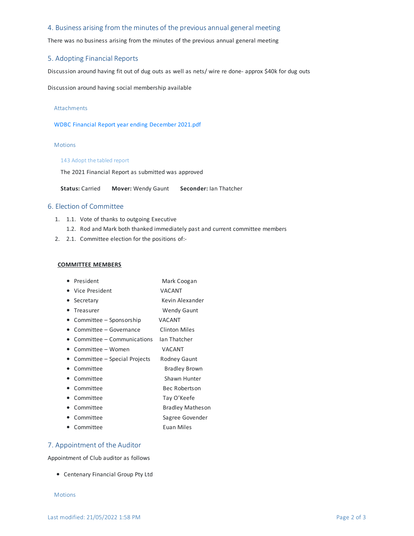# 4. Business arising from the minutes of the previous annual general meeting

There was no business arising from the minutes of the previous annual general meeting

# 5. Adopting Financial Reports

Discussion around having fit out of dug outs as well as nets/ wire re done- approx \$40k for dug outs

Discussion around having social membership available

#### Attachments

WDBC Financial Report year ending [December](https://app.processpa.com/documents/58227) 2021.pdf

#### Motions

#### 143 Adopt the tabled report

The 2021 Financial Report as submitted was approved

**Status:** Carried **Mover:** Wendy Gaunt **Seconder:** Ian Thatcher

# 6.Election of Committee

- 1. 1.1. Vote of thanks to outgoing Executive
	- 1.2. Rod and Mark both thanked immediately past and current committee members
- 2. 2.1. Committee election for the positions of:-

#### **COMMITTEE MEMBERS**

- President Mark Coogan
- Vice President VACANT
- Secretary **Kevin Alexander**
- Treasurer Wendy Gaunt
- Committee Sponsorship VACANT
- Committee Governance Clinton Miles
- Committee Communications Ian Thatcher
- Committee Women VACANT
- Committee Special Projects Rodney Gaunt
- Committee Bradley Brown
- Committee Shawn Hunter
- Committee Bec Robertson
- Committee Tay O'Keefe
- Committee Bradley Matheson
- Committee Sagree Govender
- Committee Euan Miles

# 7. Appointment of the Auditor

Appointment of Club auditor as follows

Centenary Financial Group Pty Ltd

#### **Motions**